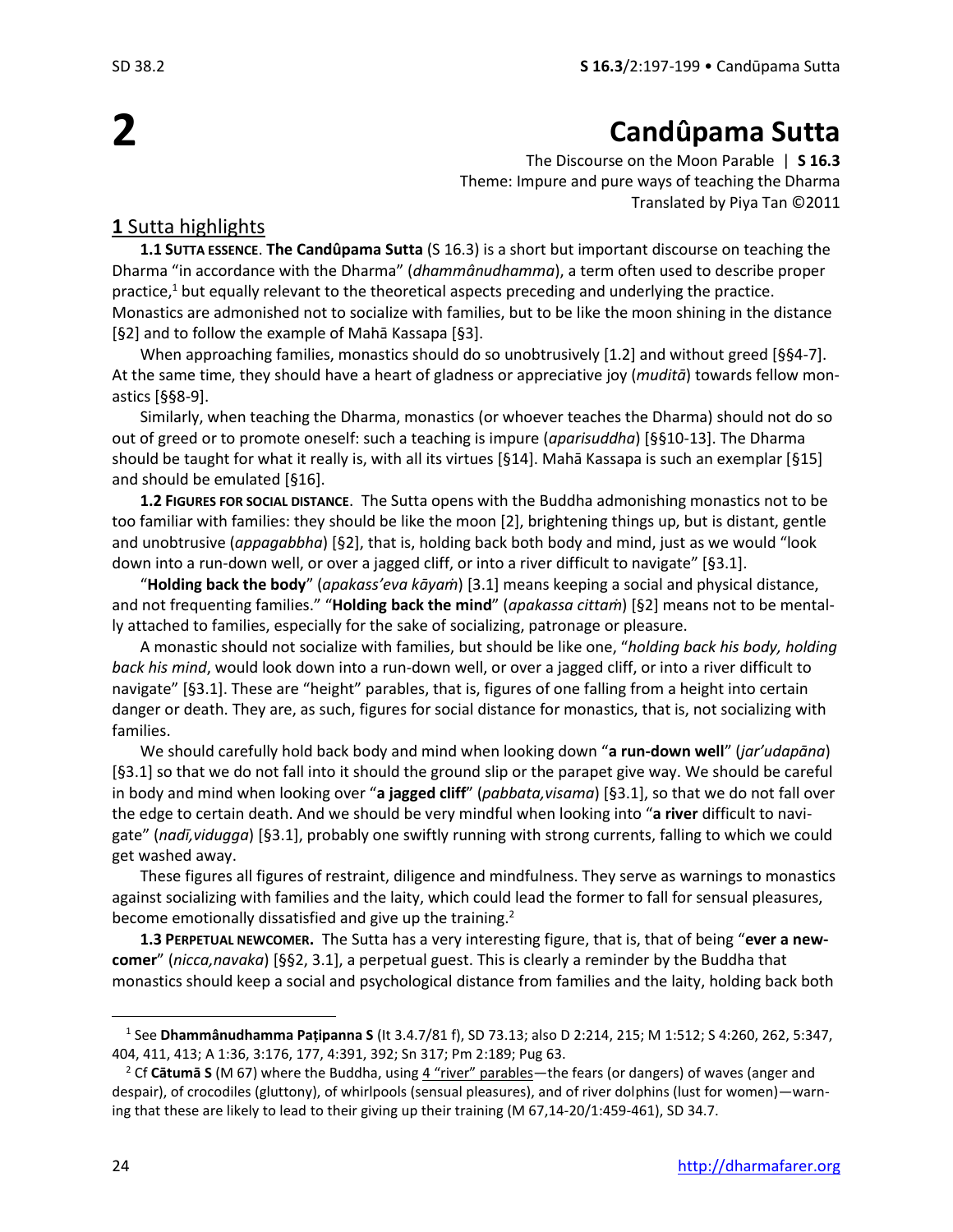**2**

# **Candûpama Sutta**

The Discourse on the Moon Parable | **S 16.3** Theme: Impure and pure ways of teaching the Dharma Translated by Piya Tan ©2011

## **1** Sutta highlights

**1.1 SUTTA ESSENCE**. **The Candûpama Sutta** (S 16.3) is a short but important discourse on teaching the **1.1 SUTTA ESSENCE. The Candûpama Sutta** (S 16.3) is a short but important discourse on teaching the<br>Dharma "in accordance with the Dharma" (*dhammânudhamma*), a term often used to describe proper practice, $1$  but equally relevant to the theoretical aspects preceding and underlying the practice. Monastics are admonished not to socialize with families, but to be like the moon shining in the distance [§2] and to follow the example of Mahā Kassapa [§3].

When approaching families, monastics should do so unobtrusively [1.2] and without greed [§§4-7]. At the same time, they should have a heart of gladness or appreciative joy (*muditā*) towards fellow monastics [§§8-9].

Similarly, when teaching the Dharma, monastics (or whoever teaches the Dharma) should not do so out of greed or to promote oneself: such a teaching is impure (*aparisuddha*) [§§10-13]. The Dharma should be taught for what it really is, with all its virtues [§14]. Mahā Kassapa is such an exemplar [§15] and should be emulated [§16].

**1.2 FIGURES FOR SOCIAL DISTANCE**. The Sutta opens with the Buddha admonishing monastics not to be too familiar with families: they should be like the moon [2], brightening things up, but is distant, gentle and unobtrusive (*appagabbha*) [§2], that is, holding back both body and mind, just as we would "look down into a run-down well, or over a jagged cliff, or into a river difficult to navigate" [§3.1].

"**Holding back the body**" (*apakass'eva kāyaṁ*) [3.1] means keeping a social and physical distance, and not frequenting families." "**Holding back the mind**" (*apakassa cittaṁ*) [§2] means not to be mentally attached to families, especially for the sake of socializing, patronage or pleasure.

A monastic should not socialize with families, but should be like one, "*holding back his body, holding back his mind*, would look down into a run-down well, or over a jagged cliff, or into a river difficult to navigate" [§3.1]. These are "height" parables, that is, figures of one falling from a height into certain danger or death. They are, as such, figures for social distance for monastics, that is, not socializing with families.

We should carefully hold back body and mind when looking down "**a run-down well**" (*jar'udapāna*) [§3.1] so that we do not fall into it should the ground slip or the parapet give way. We should be careful in body and mind when looking over "**a jagged cliff**" (*pabbata,visama*) [§3.1], so that we do not fall over the edge to certain death. And we should be very mindful when looking into "**a river** difficult to navigate" (*nadī,vidugga*) [§3.1], probably one swiftly running with strong currents, falling to which we could get washed away.

These figures all figures of restraint, diligence and mindfulness. They serve as warnings to monastics against socializing with families and the laity, which could lead the former to fall for sensual pleasures, become emotionally dissatisfied and give up the training.<sup>2</sup>

**1.3 PERPETUAL NEWCOMER.** The Sutta has a very interesting figure, that is, that of being "**ever a newcomer**" (*nicca,navaka*) [§§2, 3.1], a perpetual guest. This is clearly a reminder by the Buddha that monastics should keep a social and psychological distance from families and the laity, holding back both

<sup>1</sup> See **Dhammânudhamma Paṭipanna S** (It 3.4.7/81 f), SD 73.13; also D 2:214, 215; M 1:512; S 4:260, 262, 5:347, 404, 411, 413; A 1:36, 3:176, 177, 4:391, 392; Sn 317; Pm 2:189; Pug 63.

<sup>2</sup> Cf **Cātumā S** (M 67) where the Buddha, using 4 "river" parables—the fears (or dangers) of waves (anger and despair), of crocodiles (gluttony), of whirlpools (sensual pleasures), and of river dolphins (lust for women)—warning that these are likely to lead to their giving up their training (M 67,14-20/1:459-461), SD 34.7.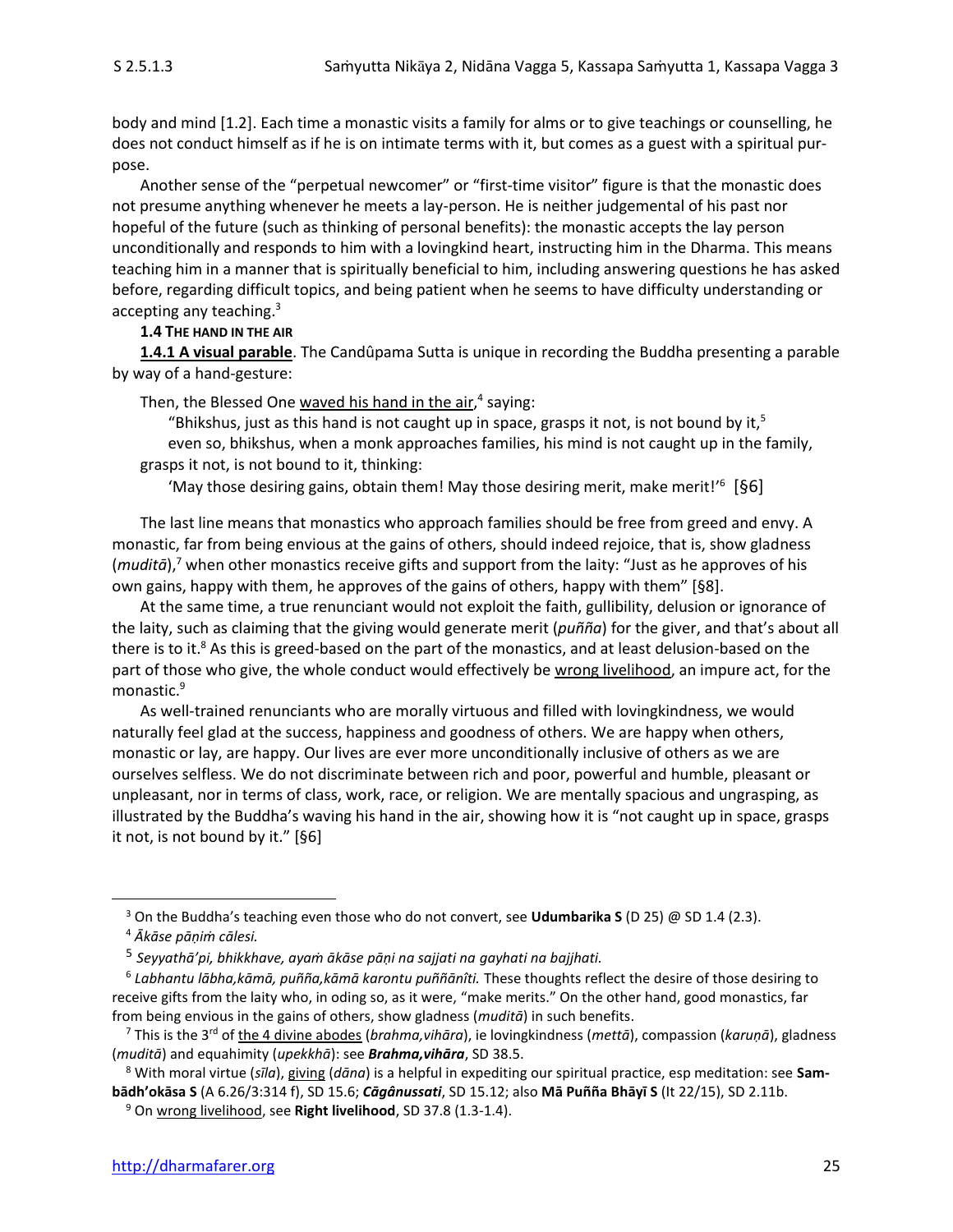body and mind [1.2]. Each time a monastic visits a family for alms or to give teachings or counselling, he does not conduct himself as if he is on intimate terms with it, but comes as a guest with a spiritual purpose.

Another sense of the "perpetual newcomer" or "first-time visitor" figure is that the monastic does not presume anything whenever he meets a lay-person. He is neither judgemental of his past nor hopeful of the future (such as thinking of personal benefits): the monastic accepts the lay person unconditionally and responds to him with a lovingkind heart, instructing him in the Dharma. This means teaching him in a manner that is spiritually beneficial to him, including answering questions he has asked before, regarding difficult topics, and being patient when he seems to have difficulty understanding or accepting any teaching.<sup>3</sup>

## **1.4 THE HAND IN THE AIR**

**1.4.1 A visual parable**. The Candûpama Sutta is unique in recording the Buddha presenting a parable by way of a hand-gesture:

Then, the Blessed One waved his hand in the air,<sup>4</sup> saying:

"Bhikshus, just as this hand is not caught up in space, grasps it not, is not bound by it,<sup>5</sup> even so, bhikshus, when a monk approaches families, his mind is not caught up in the family, grasps it not, is not bound to it, thinking:

'May those desiring gains, obtain them! May those desiring merit, make merit!' 6 [§6]

The last line means that monastics who approach families should be free from greed and envy. A monastic, far from being envious at the gains of others, should indeed rejoice, that is, show gladness (*muditā*),<sup>7</sup> when other monastics receive gifts and support from the laity: "Just as he approves of his own gains, happy with them, he approves of the gains of others, happy with them" [§8].

At the same time, a true renunciant would not exploit the faith, gullibility, delusion or ignorance of the laity, such as claiming that the giving would generate merit (*puñña*) for the giver, and that's about all there is to it.<sup>8</sup> As this is greed-based on the part of the monastics, and at least delusion-based on the part of those who give, the whole conduct would effectively be wrong livelihood, an impure act, for the monastic. 9

As well-trained renunciants who are morally virtuous and filled with lovingkindness, we would naturally feel glad at the success, happiness and goodness of others. We are happy when others, monastic or lay, are happy. Our lives are ever more unconditionally inclusive of others as we are ourselves selfless. We do not discriminate between rich and poor, powerful and humble, pleasant or unpleasant, nor in terms of class, work, race, or religion. We are mentally spacious and ungrasping, as illustrated by the Buddha's waving his hand in the air, showing how it is "not caught up in space, grasps it not, is not bound by it." [§6]

<sup>3</sup> On the Buddha's teaching even those who do not convert, see **Udumbarika S** (D 25) @ SD 1.4 (2.3).

<sup>4</sup> *Ākāse pāṇiṁ cālesi.*

<sup>5</sup> *Seyyathā'pi, bhikkhave, ayaṁ ākāse pāṇi na sajjati na gayhati na bajjhati.*

<sup>6</sup> *Labhantu lābha,kāmā, puñña,kāmā karontu puññānîti.* These thoughts reflect the desire of those desiring to receive gifts from the laity who, in oding so, as it were, "make merits." On the other hand, good monastics, far from being envious in the gains of others, show gladness (*muditā*) in such benefits.

<sup>7</sup> This is the 3rd of the 4 divine abodes (*brahma,vihāra*), ie lovingkindness (*mettā*), compassion (*karuṇā*), gladness (*muditā*) and equahimity (*upekkhā*): see *Brahma,vihāra*, SD 38.5.

<sup>8</sup> With moral virtue (*sīla*), giving (*dāna*) is a helpful in expediting our spiritual practice, esp meditation: see **Sambādh'okāsa S** (A 6.26/3:314 f), SD 15.6; *Cāgânussati*, SD 15.12; also **Mā Puñña Bhāyī S** (It 22/15), SD 2.11b.

<sup>9</sup> On wrong livelihood, see **Right livelihood**, SD 37.8 (1.3-1.4).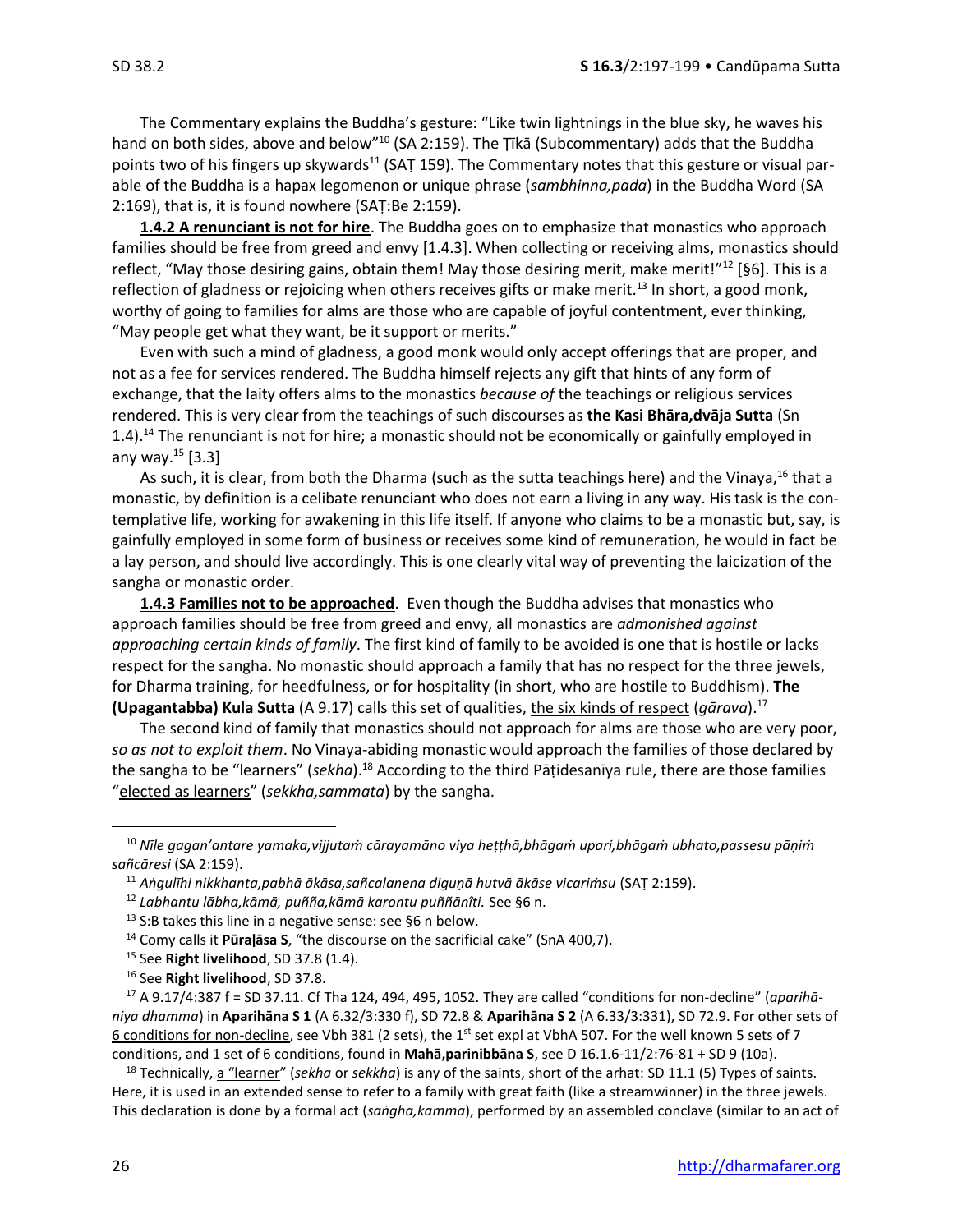The Commentary explains the Buddha's gesture: "Like twin lightnings in the blue sky, he waves his hand on both sides, above and below"<sup>10</sup> (SA 2:159). The Ṭīkā (Subcommentary) adds that the Buddha points two of his fingers up skywards<sup>11</sup> (SAT 159). The Commentary notes that this gesture or visual parable of the Buddha is a hapax legomenon or unique phrase (*sambhinna,pada*) in the Buddha Word (SA 2:169), that is, it is found nowhere (SAṬ:Be 2:159).

**1.4.2 A renunciant is not for hire**. The Buddha goes on to emphasize that monastics who approach families should be free from greed and envy [1.4.3]. When collecting or receiving alms, monastics should reflect, "May those desiring gains, obtain them! May those desiring merit, make merit!"<sup>12</sup> [§6]. This is a reflection of gladness or rejoicing when others receives gifts or make merit.<sup>13</sup> In short, a good monk, worthy of going to families for alms are those who are capable of joyful contentment, ever thinking, "May people get what they want, be it support or merits."

Even with such a mind of gladness, a good monk would only accept offerings that are proper, and not as a fee for services rendered. The Buddha himself rejects any gift that hints of any form of exchange, that the laity offers alms to the monastics *because of* the teachings or religious services rendered. This is very clear from the teachings of such discourses as **the Kasi Bhāra,dvāja Sutta** (Sn 1.4).<sup>14</sup> The renunciant is not for hire; a monastic should not be economically or gainfully employed in any way. $^{15}$  [3.3]

As such, it is clear, from both the Dharma (such as the sutta teachings here) and the Vinaya,  $^{16}$  that a monastic, by definition is a celibate renunciant who does not earn a living in any way. His task is the contemplative life, working for awakening in this life itself. If anyone who claims to be a monastic but, say, is gainfully employed in some form of business or receives some kind of remuneration, he would in fact be a lay person, and should live accordingly. This is one clearly vital way of preventing the laicization of the sangha or monastic order.

**1.4.3 Families not to be approached**. Even though the Buddha advises that monastics who approach families should be free from greed and envy, all monastics are *admonished against approaching certain kinds of family*. The first kind of family to be avoided is one that is hostile or lacks respect for the sangha. No monastic should approach a family that has no respect for the three jewels, for Dharma training, for heedfulness, or for hospitality (in short, who are hostile to Buddhism). **The (Upagantabba) Kula Sutta** (A 9.17) calls this set of qualities, the six kinds of respect (*gārava*).<sup>17</sup>

The second kind of family that monastics should not approach for alms are those who are very poor, *so as not to exploit them*. No Vinaya-abiding monastic would approach the families of those declared by the sangha to be "learners" (*sekha*).<sup>18</sup> According to the third Pāṭidesanīya rule, there are those families "elected as learners" (*sekkha,sammata*) by the sangha.

<sup>10</sup> *Nīle gagan'antare yamaka,vijjutaṁ cārayamāno viya heṭṭhā,bhāgaṁ upari,bhāgaṁ ubhato,passesu pāṇiṁ sañcāresi* (SA 2:159).

<sup>11</sup> *Aṅgulīhi nikkhanta,pabhā ākāsa,sañcalanena diguṇā hutvā ākāse vicariṁsu* (SAṬ 2:159).

<sup>12</sup> *Labhantu lābha,kāmā, puñña,kāmā karontu puññānîti.* See §6 n.

<sup>13</sup> S:B takes this line in a negative sense: see §6 n below.

<sup>14</sup> Comy calls it **Pūraḷāsa S**, "the discourse on the sacrificial cake" (SnA 400,7).

<sup>15</sup> See **Right livelihood**, SD 37.8 (1.4).

<sup>16</sup> See **Right livelihood**, SD 37.8.

<sup>17</sup> A 9.17/4:387 f = SD 37.11. Cf Tha 124, 494, 495, 1052. They are called "conditions for non-decline" (*aparihāniya dhamma*) in **Aparihāna S 1** (A 6.32/3:330 f), SD 72.8 & **Aparihāna S 2** (A 6.33/3:331), SD 72.9. For other sets of 6 conditions for non-decline, see Vbh 381 (2 sets), the 1<sup>st</sup> set expl at VbhA 507. For the well known 5 sets of 7 conditions, and 1 set of 6 conditions, found in **Mahā,parinibbāna S**, see D 16.1.6-11/2:76-81 + SD 9 (10a).

<sup>18</sup> Technically, a "learner" (*sekha* or *sekkha*) is any of the saints, short of the arhat: SD 11.1 (5) Types of saints. Here, it is used in an extended sense to refer to a family with great faith (like a streamwinner) in the three jewels. This declaration is done by a formal act (*saṅgha,kamma*), performed by an assembled conclave (similar to an act of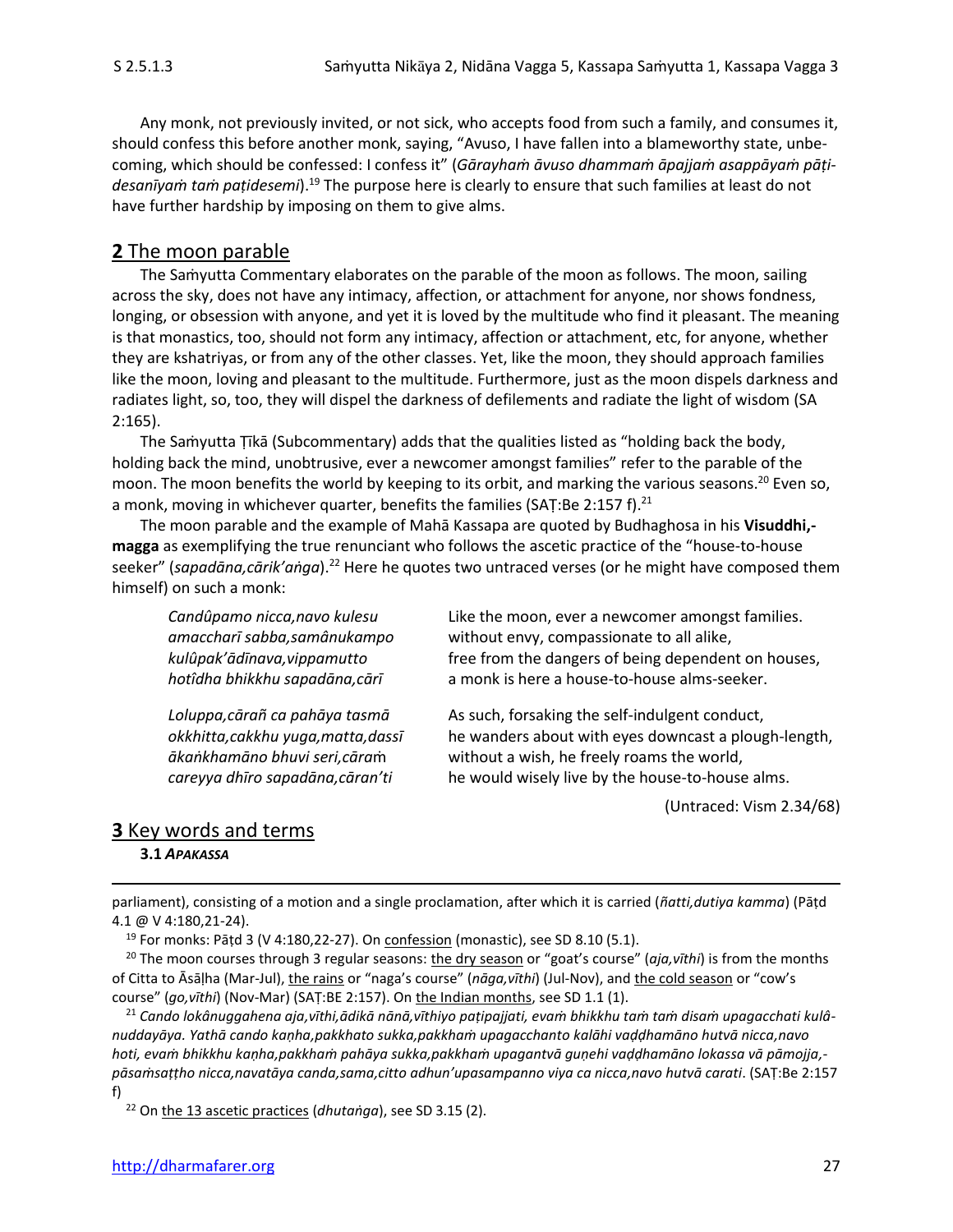Any monk, not previously invited, or not sick, who accepts food from such a family, and consumes it, should confess this before another monk, saying, "Avuso, I have fallen into a blameworthy state, unbecoming, which should be confessed: I confess it" (*Gārayhaṁ āvuso dhammaṁ āpajjaṁ asappāyaṁ pāṭidesanīyaṁ taṁ paṭidesemi*).<sup>19</sup> The purpose here is clearly to ensure that such families at least do not have further hardship by imposing on them to give alms.

## **2** The moon parable

The Samyutta Commentary elaborates on the parable of the moon as follows. The moon, sailing across the sky, does not have any intimacy, affection, or attachment for anyone, nor shows fondness, longing, or obsession with anyone, and yet it is loved by the multitude who find it pleasant. The meaning is that monastics, too, should not form any intimacy, affection or attachment, etc, for anyone, whether they are kshatriyas, or from any of the other classes. Yet, like the moon, they should approach families like the moon, loving and pleasant to the multitude. Furthermore, just as the moon dispels darkness and radiates light, so, too, they will dispel the darkness of defilements and radiate the light of wisdom (SA 2:165).

The Samyutta Ţīkā (Subcommentary) adds that the qualities listed as "holding back the body, holding back the mind, unobtrusive, ever a newcomer amongst families" refer to the parable of the moon. The moon benefits the world by keeping to its orbit, and marking the various seasons.<sup>20</sup> Even so, a monk, moving in whichever quarter, benefits the families (SAȚ:Be 2:157 f).<sup>21</sup>

The moon parable and the example of Mahā Kassapa are quoted by Budhaghosa in his **Visuddhi, magga** as exemplifying the true renunciant who follows the ascetic practice of the "house-to-house seeker" (*sapadāna,cārik'aṅga*).<sup>22</sup> Here he quotes two untraced verses (or he might have composed them himself) on such a monk:

*Candûpamo nicca,navo kulesu* Like the moon, ever a newcomer amongst families. *amaccharī sabba,samânukampo* without envy, compassionate to all alike, *kulûpak'ādīnava,vippamutto* free from the dangers of being dependent on houses, *hotîdha bhikkhu sapadāna,cārī* a monk is here a house-to-house alms-seeker.

*Loluppa,cārañ ca pahāya tasmā* As such, forsaking the self-indulgent conduct, *okkhitta,cakkhu yuga,matta,dassī* he wanders about with eyes downcast a plough-length, *ākaṅkhamāno bhuvi seri,cāra*ṁ without a wish, he freely roams the world, *careyya dhīro sapadāna,cāran'ti* he would wisely live by the house-to-house alms.

(Untraced: Vism 2.34/68)

## **3** Key words and terms

#### **3.1** *APAKASSA*

parliament), consisting of a motion and a single proclamation, after which it is carried (*ñatti,dutiya kamma*) (Pāṭd 4.1 @ V 4:180,21-24).

 $19$  For monks: Pāṭd 3 (V 4:180,22-27). On confession (monastic), see SD 8.10 (5.1).

<sup>20</sup> The moon courses through 3 regular seasons: the dry season or "goat's course" (*aja,vīthi*) is from the months of Citta to Āsāḷha (Mar-Jul), the rains or "naga's course" (*nāga,vīthi*) (Jul-Nov), and the cold season or "cow's course" (*go,vīthi*) (Nov-Mar) (SAṬ:BE 2:157). On the Indian months, see SD 1.1 (1).

<sup>21</sup> *Cando lokânuggahena aja,vīthi,ādikā nānā,vīthiyo paṭipajjati, evaṁ bhikkhu taṁ taṁ disaṁ upagacchati kulânuddayāya. Yathā cando kaṇha,pakkhato sukka,pakkhaṁ upagacchanto kalāhi vaḍḍhamāno hutvā nicca,navo hoti, evaṁ bhikkhu kaṇha,pakkhaṁ pahāya sukka,pakkhaṁ upagantvā guṇehi vaḍḍhamāno lokassa vā pāmojja, pāsaṁsaṭṭho nicca,navatāya canda,sama,citto adhun'upasampanno viya ca nicca,navo hutvā carati*. (SAṬ:Be 2:157 f)

<sup>22</sup> On the 13 ascetic practices (*dhutaṅga*), see SD 3.15 (2).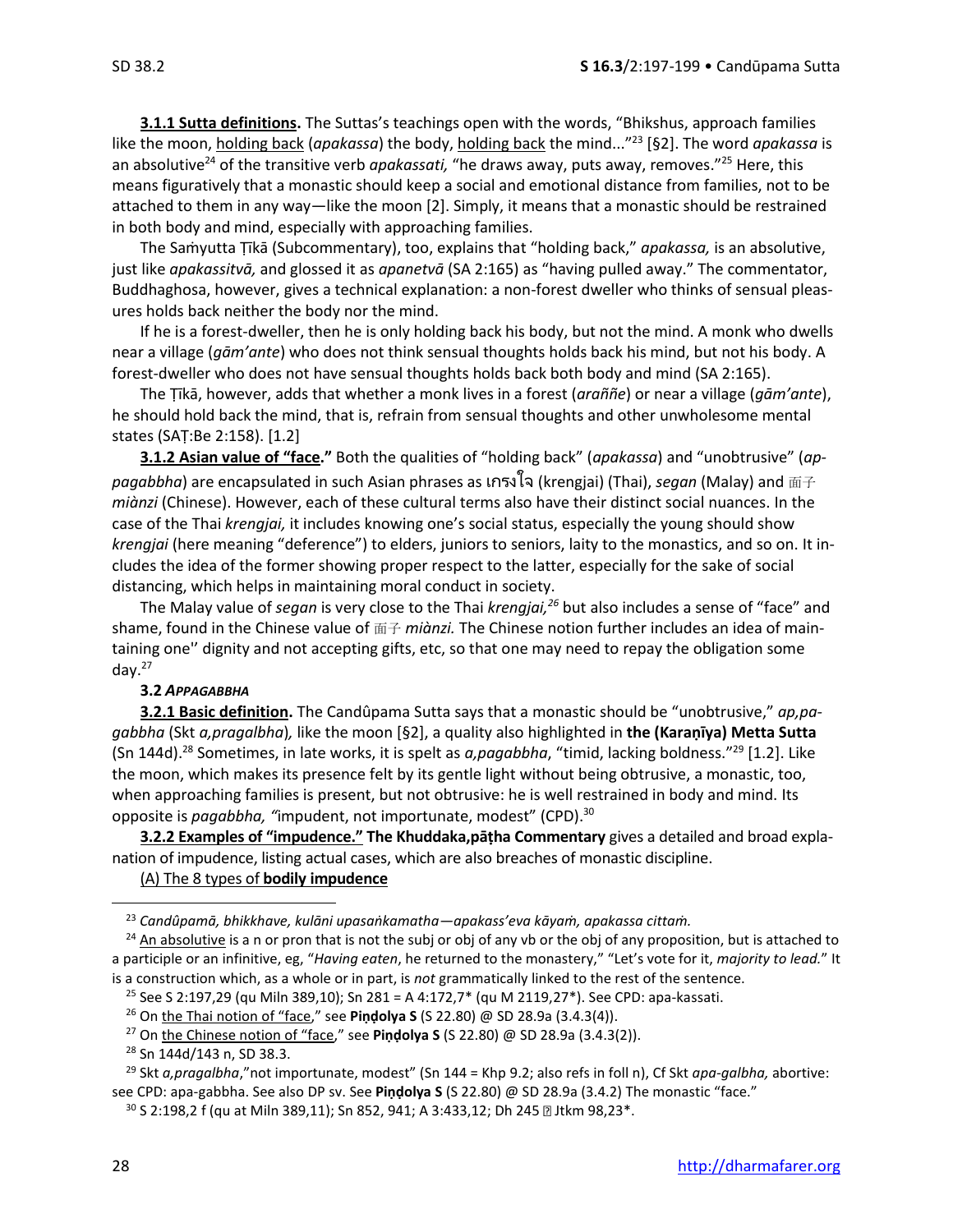**3.1.1 Sutta definitions.** The Suttas's teachings open with the words, "Bhikshus, approach families like the moon, holding back (apakassa) the body, holding back the mind..."<sup>23</sup> [§2]. The word apakassa is an absolutive<sup>24</sup> of the transitive verb *apakassati,* "he draws away, puts away, removes."<sup>25</sup> Here, this means figuratively that a monastic should keep a social and emotional distance from families, not to be attached to them in any way—like the moon [2]. Simply, it means that a monastic should be restrained in both body and mind, especially with approaching families.

The Saṁyutta Ṭīkā (Subcommentary), too, explains that "holding back," *apakassa,* is an absolutive, just like *apakassitvā,* and glossed it as *apanetvā* (SA 2:165) as "having pulled away." The commentator, Buddhaghosa, however, gives a technical explanation: a non-forest dweller who thinks of sensual pleasures holds back neither the body nor the mind.

If he is a forest-dweller, then he is only holding back his body, but not the mind. A monk who dwells near a village (*gām'ante*) who does not think sensual thoughts holds back his mind, but not his body. A forest-dweller who does not have sensual thoughts holds back both body and mind (SA 2:165).

The Ṭīkā, however, adds that whether a monk lives in a forest (*araññe*) or near a village (*gām'ante*), he should hold back the mind, that is, refrain from sensual thoughts and other unwholesome mental states (SAṬ:Be 2:158). [1.2]

**3.1.2 Asian value of "face."** Both the qualities of "holding back" (*apakassa*) and "unobtrusive" (*appagabbha*) are encapsulated in such Asian phrases as เกรงใจ (krengjai) (Thai), *segan* (Malay) and 面子 *miànzi* (Chinese). However, each of these cultural terms also have their distinct social nuances. In the case of the Thai *krengjai,* it includes knowing one's social status, especially the young should show *krengjai* (here meaning "deference") to elders, juniors to seniors, laity to the monastics, and so on. It includes the idea of the former showing proper respect to the latter, especially for the sake of social distancing, which helps in maintaining moral conduct in society.

The Malay value of *segan* is very close to the Thai *krengjai,<sup>26</sup>* but also includes a sense of "face" and shame, found in the Chinese value of 面子 *miànzi.* The Chinese notion further includes an idea of maintaining one'' dignity and not accepting gifts, etc, so that one may need to repay the obligation some day.<sup>27</sup>

#### **3.2** *APPAGABBHA*

**3.2.1 Basic definition.** The Candûpama Sutta says that a monastic should be "unobtrusive," *ap,pagabbha* (Skt *a,pragalbha*)*,* like the moon [§2], a quality also highlighted in **the (Karaṇīya) Metta Sutta** (Sn 144d). <sup>28</sup> Sometimes, in late works, it is spelt as *a,pagabbha*, "timid, lacking boldness." <sup>29</sup> [1.2]. Like the moon, which makes its presence felt by its gentle light without being obtrusive, a monastic, too, when approaching families is present, but not obtrusive: he is well restrained in body and mind. Its opposite is *pagabbha, "*impudent, not importunate, modest" (CPD).<sup>30</sup>

**3.2.2 Examples of "impudence." The Khuddaka,pāṭha Commentary** gives a detailed and broad explanation of impudence, listing actual cases, which are also breaches of monastic discipline.

#### (A) The 8 types of **bodily impudence**

<sup>25</sup> See S 2:197,29 (qu Miln 389,10); Sn 281 = A 4:172,7<sup>\*</sup> (qu M 2119,27<sup>\*</sup>). See CPD: apa-kassati.

<sup>29</sup> Skt *a,pragalbha*,"not importunate, modest" (Sn 144 = Khp 9.2; also refs in foll n), Cf Skt *apa-galbha,* abortive: see CPD: apa-gabbha. See also DP sv. See **Piṇḍolya S** (S 22.80) @ SD 28.9a (3.4.2) The monastic "face."

<sup>23</sup> *Candûpamā, bhikkhave, kulāni upasaṅkamatha—apakass'eva kāyaṁ, apakassa cittaṁ.*

 $24$  An absolutive is a n or pron that is not the subj or obj of any vb or the obj of any proposition, but is attached to a participle or an infinitive, eg, "*Having eaten*, he returned to the monastery," "Let's vote for it, *majority to lead.*" It is a construction which, as a whole or in part, is *not* grammatically linked to the rest of the sentence.

<sup>26</sup> On the Thai notion of "face," see **Piṇḍolya S** (S 22.80) @ SD 28.9a (3.4.3(4)).

<sup>27</sup> On the Chinese notion of "face," see **Piṇḍolya S** (S 22.80) @ SD 28.9a (3.4.3(2)).

<sup>28</sup> Sn 144d/143 n, SD 38.3.

<sup>30</sup> S 2:198,2 f (qu at Miln 389,11); Sn 852, 941; A 3:433,12; Dh 245 a Jtkm 98,23\*.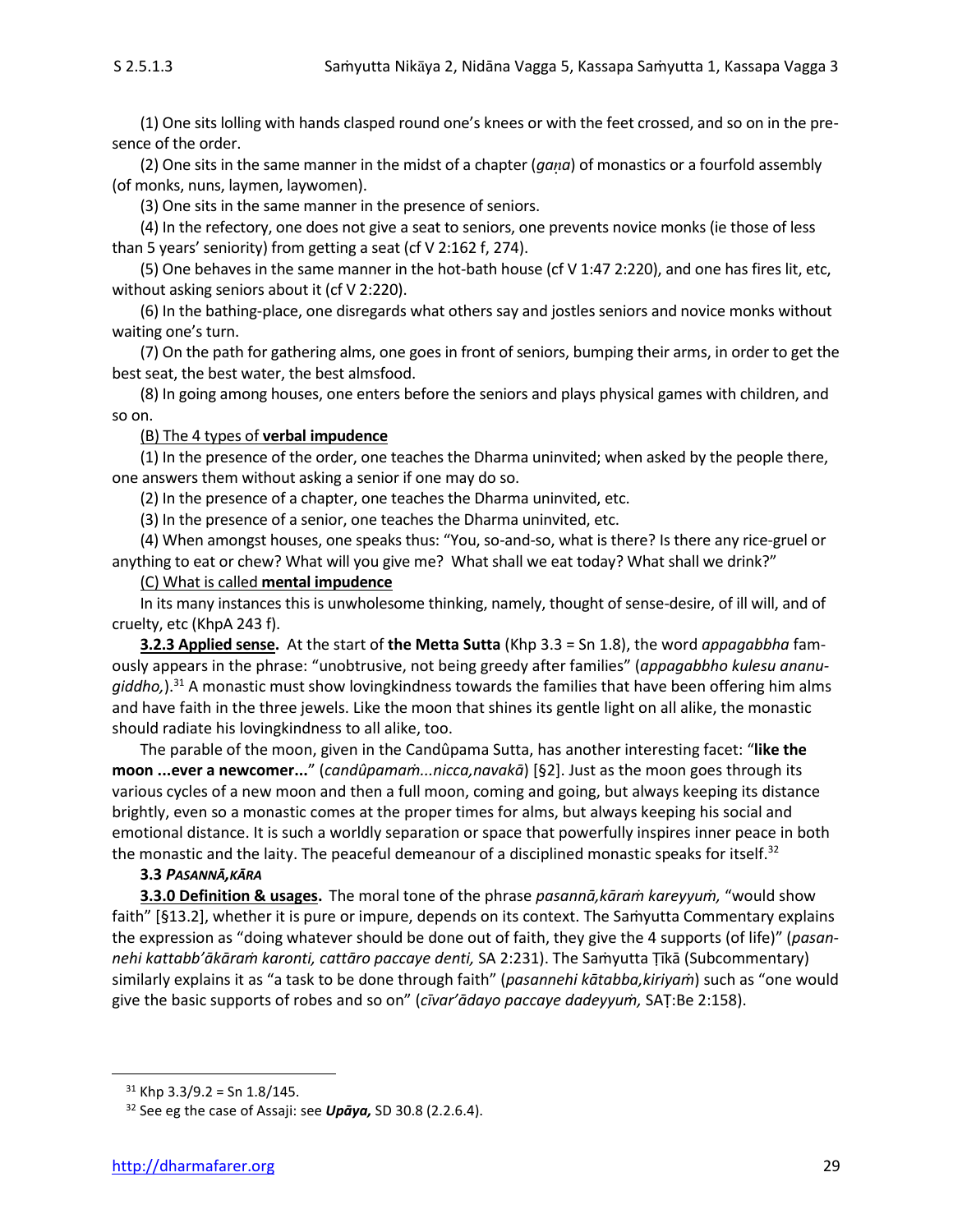(1) One sits lolling with hands clasped round one's knees or with the feet crossed, and so on in the presence of the order.

(2) One sits in the same manner in the midst of a chapter (*gaa*) of monastics or a fourfold assembly (of monks, nuns, laymen, laywomen).

(3) One sits in the same manner in the presence of seniors.

(4) In the refectory, one does not give a seat to seniors, one prevents novice monks (ie those of less than 5 years' seniority) from getting a seat (cf V 2:162 f, 274).

(5) One behaves in the same manner in the hot-bath house (cf V 1:47 2:220), and one has fires lit, etc, without asking seniors about it (cf V 2:220).

(6) In the bathing-place, one disregards what others say and jostles seniors and novice monks without waiting one's turn.

(7) On the path for gathering alms, one goes in front of seniors, bumping their arms, in order to get the best seat, the best water, the best almsfood.

(8) In going among houses, one enters before the seniors and plays physical games with children, and so on.

#### (B) The 4 types of **verbal impudence**

(1) In the presence of the order, one teaches the Dharma uninvited; when asked by the people there, one answers them without asking a senior if one may do so.

(2) In the presence of a chapter, one teaches the Dharma uninvited, etc.

(3) In the presence of a senior, one teaches the Dharma uninvited, etc.

(4) When amongst houses, one speaks thus: "You, so-and-so, what is there? Is there any rice-gruel or anything to eat or chew? What will you give me? What shall we eat today? What shall we drink?"

#### (C) What is called **mental impudence**

In its many instances this is unwholesome thinking, namely, thought of sense-desire, of ill will, and of cruelty, etc (KhpA 243 f).

**3.2.3 Applied sense.** At the start of **the Metta Sutta** (Khp 3.3 = Sn 1.8), the word *appagabbha* famously appears in the phrase: "unobtrusive, not being greedy after families" (*appagabbho kulesu ananugiddho,*).<sup>31</sup> A monastic must show lovingkindness towards the families that have been offering him alms and have faith in the three jewels. Like the moon that shines its gentle light on all alike, the monastic should radiate his lovingkindness to all alike, too.

The parable of the moon, given in the Candûpama Sutta, has another interesting facet: "**like the moon ...ever a newcomer...**" (*candûpamaṁ...nicca,navakā*) [§2]. Just as the moon goes through its various cycles of a new moon and then a full moon, coming and going, but always keeping its distance brightly, even so a monastic comes at the proper times for alms, but always keeping his social and emotional distance. It is such a worldly separation or space that powerfully inspires inner peace in both the monastic and the laity. The peaceful demeanour of a disciplined monastic speaks for itself. $32$ 

#### **3.3** *PASANNĀ,KĀRA*

**3.3.0 Definition & usages.** The moral tone of the phrase *pasannā,kāraṁ kareyyuṁ,* "would show faith" [§13.2], whether it is pure or impure, depends on its context. The Samyutta Commentary explains the expression as "doing whatever should be done out of faith, they give the 4 supports (of life)" (*pasannehi kattabb'ākāraṁ karonti, cattāro paccaye denti,* SA 2:231). The Saṁyutta Ṭīkā (Subcommentary) similarly explains it as "a task to be done through faith" (*pasannehi kātabba,kiriyaṁ*) such as "one would give the basic supports of robes and so on" (*cīvar'ādayo paccaye dadeyyuṁ,* SAṬ:Be 2:158).

 $31$  Khp 3.3/9.2 = Sn 1.8/145.

<sup>32</sup> See eg the case of Assaji: see *Upāya,* SD 30.8 (2.2.6.4).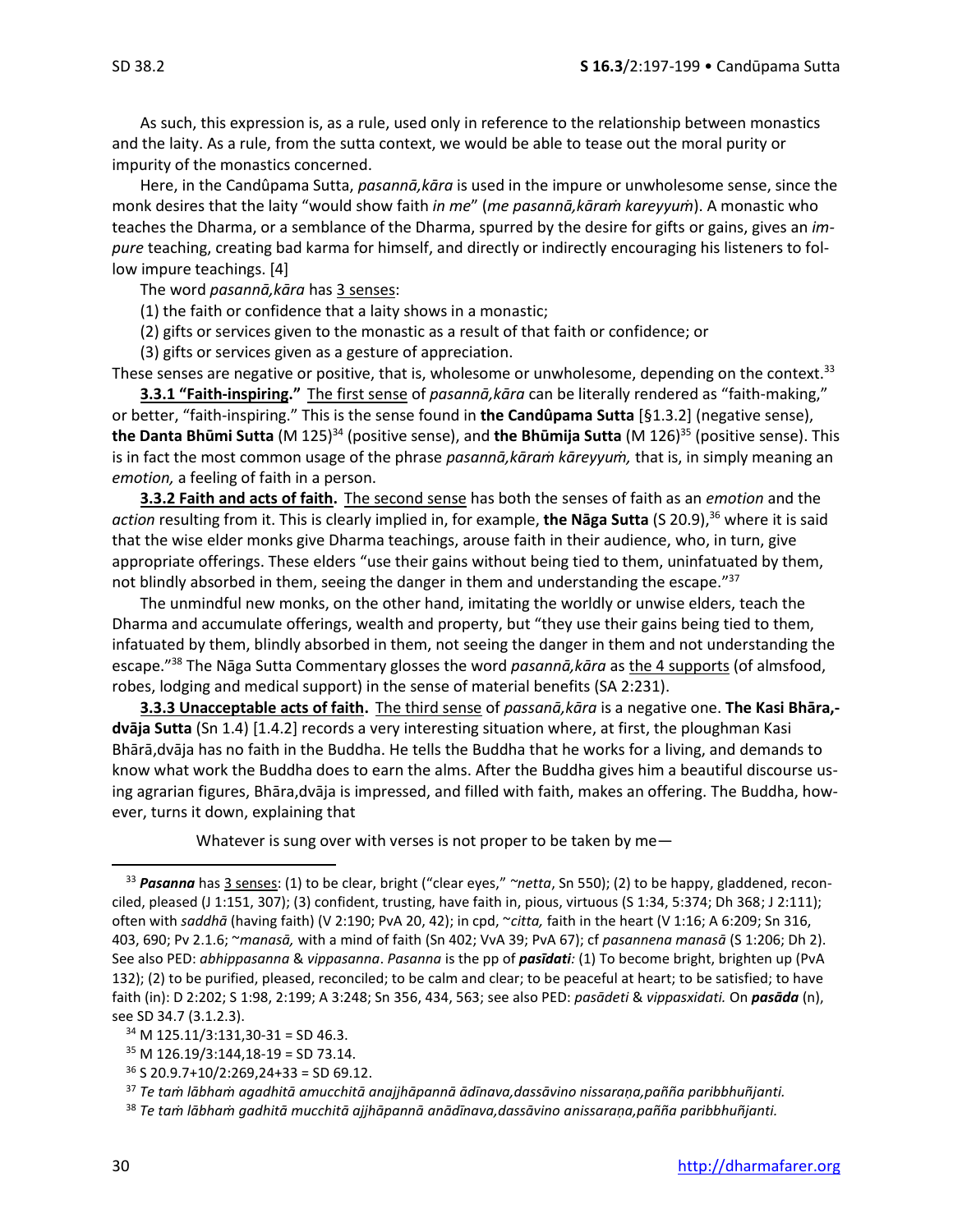As such, this expression is, as a rule, used only in reference to the relationship between monastics and the laity. As a rule, from the sutta context, we would be able to tease out the moral purity or impurity of the monastics concerned.

Here, in the Candûpama Sutta, *pasannā,kāra* is used in the impure or unwholesome sense, since the monk desires that the laity "would show faith *in me*" (*me pasannā,kāraṁ kareyyuṁ*). A monastic who teaches the Dharma, or a semblance of the Dharma, spurred by the desire for gifts or gains, gives an *impure* teaching, creating bad karma for himself, and directly or indirectly encouraging his listeners to follow impure teachings. [4]

The word *pasannā,kāra* has 3 senses:

(1) the faith or confidence that a laity shows in a monastic;

(2) gifts or services given to the monastic as a result of that faith or confidence; or

(3) gifts or services given as a gesture of appreciation.

These senses are negative or positive, that is, wholesome or unwholesome, depending on the context.<sup>33</sup>

**3.3.1 "Faith-inspiring."** The first sense of *pasannā,kāra* can be literally rendered as "faith-making," or better, "faith-inspiring." This is the sense found in **the Candûpama Sutta** [§1.3.2] (negative sense), **the Danta Bhūmi Sutta** (M 125)<sup>34</sup> (positive sense), and **the Bhūmija Sutta** (M 126)<sup>35</sup> (positive sense). This is in fact the most common usage of the phrase *pasannā,kāraṁ kāreyyuṁ,* that is, in simply meaning an *emotion,* a feeling of faith in a person.

**3.3.2 Faith and acts of faith.** The second sense has both the senses of faith as an *emotion* and the *action* resulting from it. This is clearly implied in, for example, **the Nāga Sutta** (S 20.9), <sup>36</sup> where it is said that the wise elder monks give Dharma teachings, arouse faith in their audience, who, in turn, give appropriate offerings. These elders "use their gains without being tied to them, uninfatuated by them, not blindly absorbed in them, seeing the danger in them and understanding the escape."<sup>37</sup>

The unmindful new monks, on the other hand, imitating the worldly or unwise elders, teach the Dharma and accumulate offerings, wealth and property, but "they use their gains being tied to them, infatuated by them, blindly absorbed in them, not seeing the danger in them and not understanding the escape." <sup>38</sup> The Nāga Sutta Commentary glosses the word *pasannā,kāra* as the 4 supports (of almsfood, robes, lodging and medical support) in the sense of material benefits (SA 2:231).

**3.3.3 Unacceptable acts of faith.** The third sense of *passanā,kāra* is a negative one. **The Kasi Bhāra, dvāja Sutta** (Sn 1.4) [1.4.2] records a very interesting situation where, at first, the ploughman Kasi Bhārā,dvāja has no faith in the Buddha. He tells the Buddha that he works for a living, and demands to know what work the Buddha does to earn the alms. After the Buddha gives him a beautiful discourse using agrarian figures, Bhāra,dvāja is impressed, and filled with faith, makes an offering. The Buddha, however, turns it down, explaining that

Whatever is sung over with verses is not proper to be taken by me—

<sup>33</sup> *Pasanna* has 3 senses: (1) to be clear, bright ("clear eyes," *~netta*, Sn 550); (2) to be happy, gladdened, reconciled, pleased (J 1:151, 307); (3) confident, trusting, have faith in, pious, virtuous (S 1:34, 5:374; Dh 368; J 2:111); often with *saddhā* (having faith) (V 2:190; PvA 20, 42); in cpd, ~*citta,* faith in the heart (V 1:16; A 6:209; Sn 316, 403, 690; Pv 2.1.6; ~*manasā,* with a mind of faith (Sn 402; VvA 39; PvA 67); cf *pasannena manasā* (S 1:206; Dh 2). See also PED: *abhippasanna* & *vippasanna*. *Pasanna* is the pp of *pasīdati:* (1) To become bright, brighten up (PvA 132); (2) to be purified, pleased, reconciled; to be calm and clear; to be peaceful at heart; to be satisfied; to have faith (in): D 2:202; S 1:98, 2:199; A 3:248; Sn 356, 434, 563; see also PED: *pasādeti* & *vippasxidati.* On *pasāda* (n), see SD 34.7 (3.1.2.3).

 $34$  M 125.11/3:131,30-31 = SD 46.3.

 $35$  M 126.19/3:144,18-19 = SD 73.14.

 $36$  S 20.9.7+10/2:269,24+33 = SD 69.12.

<sup>37</sup> *Te taṁ lābhaṁ agadhitā amucchitā anajjhāpannā ādīnava,dassāvino nissaraṇa,pañña paribbhuñjanti.*

<sup>38</sup> *Te taṁ lābhaṁ gadhitā mucchitā ajjhāpannā anādīnava,dassāvino anissaraṇa,pañña paribbhuñjanti.*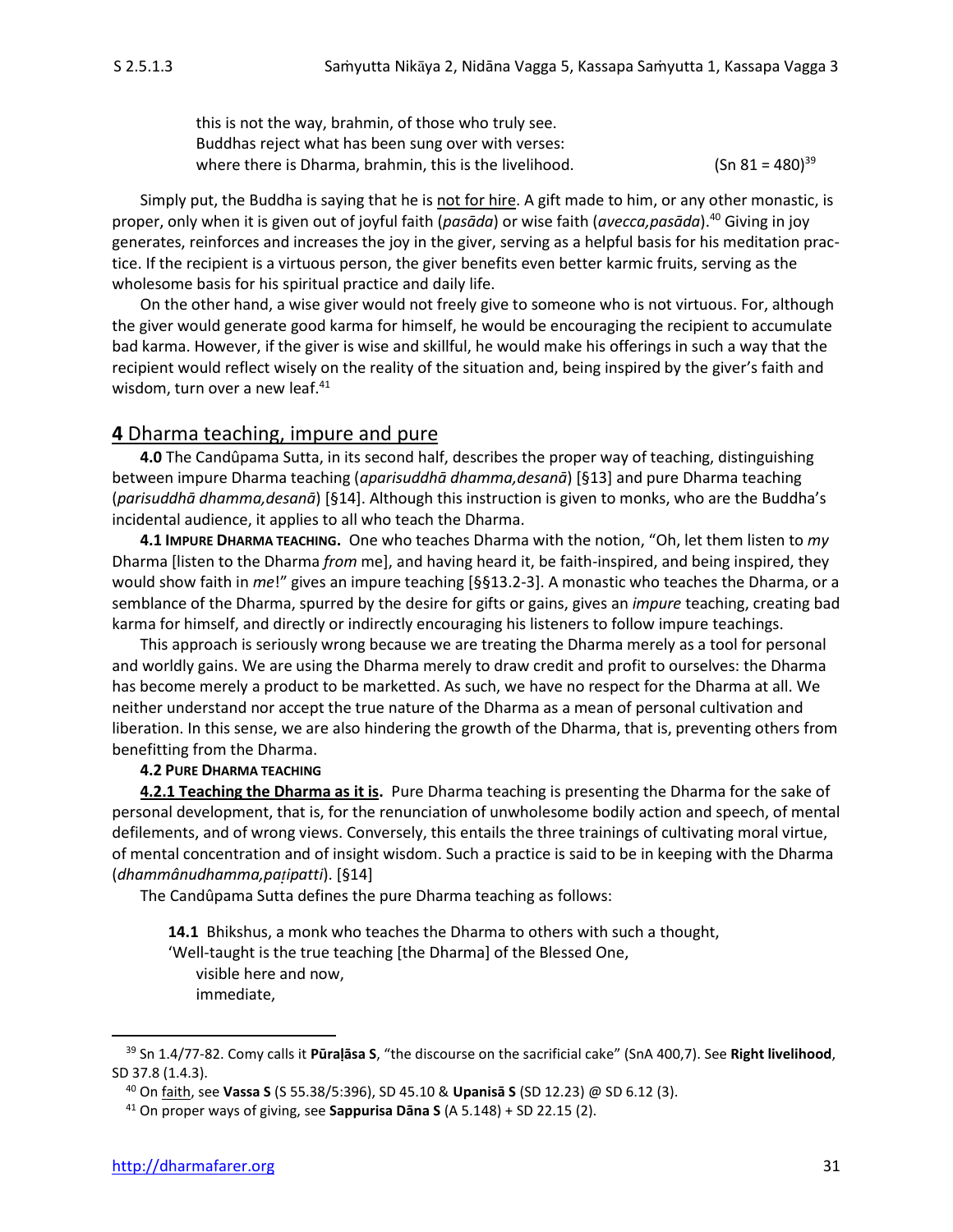this is not the way, brahmin, of those who truly see. Buddhas reject what has been sung over with verses: where there is Dharma, brahmin, this is the livelihood.  $(Sn 81 = 480)^{39}$ 

Simply put, the Buddha is saying that he is not for hire. A gift made to him, or any other monastic, is proper, only when it is given out of joyful faith (*pasāda*) or wise faith (*avecca,pasāda*).<sup>40</sup> Giving in joy generates, reinforces and increases the joy in the giver, serving as a helpful basis for his meditation practice. If the recipient is a virtuous person, the giver benefits even better karmic fruits, serving as the wholesome basis for his spiritual practice and daily life.

On the other hand, a wise giver would not freely give to someone who is not virtuous. For, although the giver would generate good karma for himself, he would be encouraging the recipient to accumulate bad karma. However, if the giver is wise and skillful, he would make his offerings in such a way that the recipient would reflect wisely on the reality of the situation and, being inspired by the giver's faith and wisdom, turn over a new leaf. $41$ 

## **4** Dharma teaching, impure and pure

**4.0** The Candûpama Sutta, in its second half, describes the proper way of teaching, distinguishing between impure Dharma teaching (*aparisuddhā dhamma,desanā*) [§13] and pure Dharma teaching (*parisuddhā dhamma,desanā*) [§14]. Although this instruction is given to monks, who are the Buddha's incidental audience, it applies to all who teach the Dharma.

**4.1 IMPURE DHARMA TEACHING.** One who teaches Dharma with the notion, "Oh, let them listen to *my* Dharma [listen to the Dharma *from* me], and having heard it, be faith-inspired, and being inspired, they would show faith in *me*!" gives an impure teaching [§§13.2-3]. A monastic who teaches the Dharma, or a semblance of the Dharma, spurred by the desire for gifts or gains, gives an *impure* teaching, creating bad karma for himself, and directly or indirectly encouraging his listeners to follow impure teachings.

This approach is seriously wrong because we are treating the Dharma merely as a tool for personal and worldly gains. We are using the Dharma merely to draw credit and profit to ourselves: the Dharma has become merely a product to be marketted. As such, we have no respect for the Dharma at all. We neither understand nor accept the true nature of the Dharma as a mean of personal cultivation and liberation. In this sense, we are also hindering the growth of the Dharma, that is, preventing others from benefitting from the Dharma.

#### **4.2 PURE DHARMA TEACHING**

**4.2.1 Teaching the Dharma as it is.** Pure Dharma teaching is presenting the Dharma for the sake of personal development, that is, for the renunciation of unwholesome bodily action and speech, of mental defilements, and of wrong views. Conversely, this entails the three trainings of cultivating moral virtue, of mental concentration and of insight wisdom. Such a practice is said to be in keeping with the Dharma (*dhammânudhamma,paipatti*). [§14]

The Candûpama Sutta defines the pure Dharma teaching as follows:

**14.1** Bhikshus, a monk who teaches the Dharma to others with such a thought, 'Well-taught is the true teaching [the Dharma] of the Blessed One, visible here and now,

immediate,

<sup>39</sup> Sn 1.4/77-82. Comy calls it **Pūraḷāsa S**, "the discourse on the sacrificial cake" (SnA 400,7). See **Right livelihood**, SD 37.8 (1.4.3).

<sup>40</sup> On faith, see **Vassa S** (S 55.38/5:396), SD 45.10 & **Upanisā S** (SD 12.23) @ SD 6.12 (3).

<sup>41</sup> On proper ways of giving, see **Sappurisa Dāna S** (A 5.148) + SD 22.15 (2).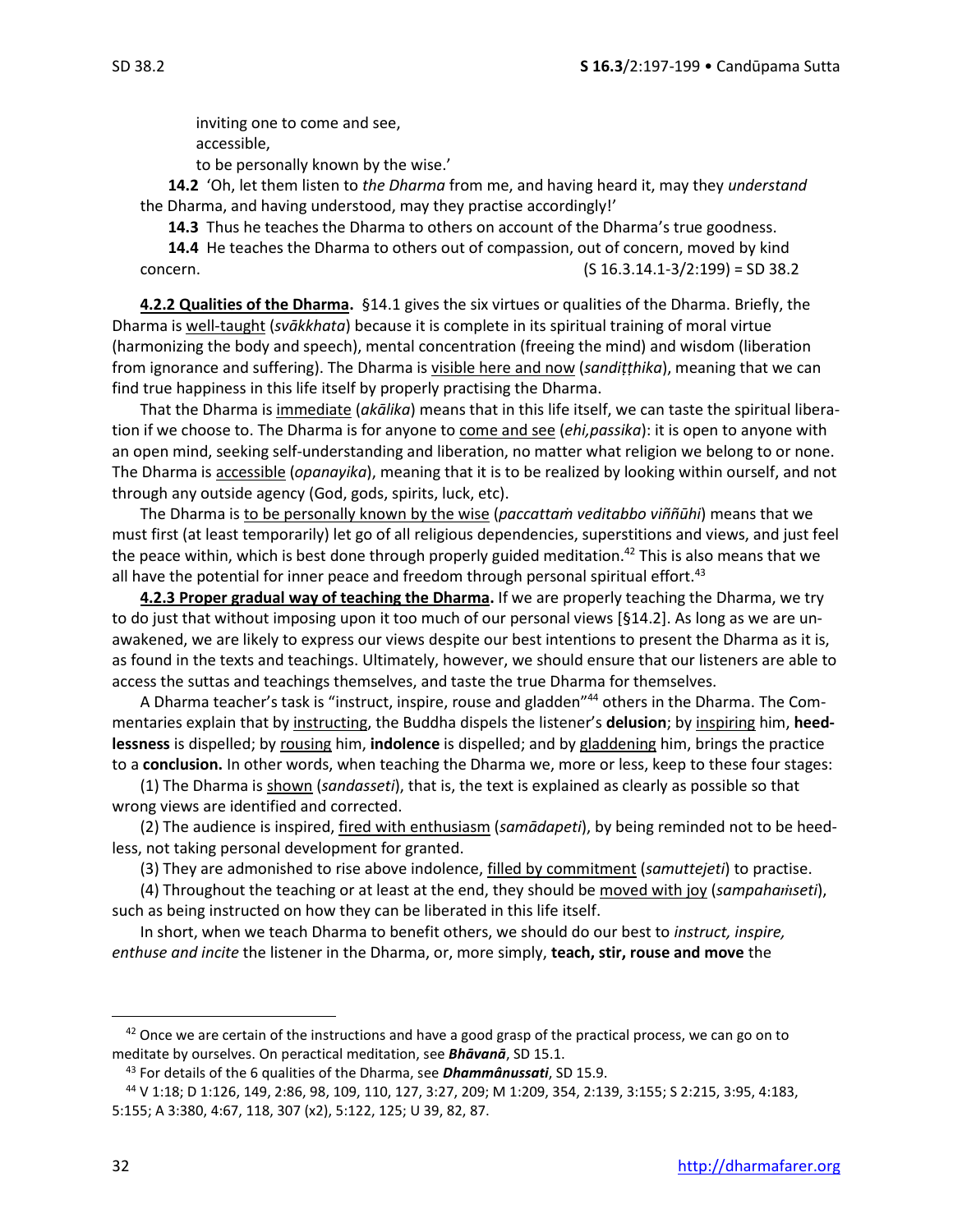inviting one to come and see, accessible,

to be personally known by the wise.'

**14.2** 'Oh, let them listen to *the Dharma* from me, and having heard it, may they *understand* the Dharma, and having understood, may they practise accordingly!'

**14.3** Thus he teaches the Dharma to others on account of the Dharma's true goodness.

**14.4** He teaches the Dharma to others out of compassion, out of concern, moved by kind concern. (S 16.3.14.1-3/2:199) = SD 38.2

**4.2.2 Qualities of the Dharma.** §14.1 gives the six virtues or qualities of the Dharma. Briefly, the Dharma is well-taught (*svākkhata*) because it is complete in its spiritual training of moral virtue (harmonizing the body and speech), mental concentration (freeing the mind) and wisdom (liberation from ignorance and suffering). The Dharma is visible here and now (*sandiṭṭhika*), meaning that we can find true happiness in this life itself by properly practising the Dharma.

That the Dharma is immediate (*akālika*) means that in this life itself, we can taste the spiritual liberation if we choose to. The Dharma is for anyone to come and see (*ehi,passika*): it is open to anyone with an open mind, seeking self-understanding and liberation, no matter what religion we belong to or none. The Dharma is accessible (*opanayika*), meaning that it is to be realized by looking within ourself, and not through any outside agency (God, gods, spirits, luck, etc).

The Dharma is to be personally known by the wise (*paccattaṁ veditabbo viññūhi*) means that we must first (at least temporarily) let go of all religious dependencies, superstitions and views, and just feel the peace within, which is best done through properly guided meditation.<sup>42</sup> This is also means that we all have the potential for inner peace and freedom through personal spiritual effort.<sup>43</sup>

**4.2.3 Proper gradual way of teaching the Dharma.** If we are properly teaching the Dharma, we try to do just that without imposing upon it too much of our personal views [§14.2]. As long as we are unawakened, we are likely to express our views despite our best intentions to present the Dharma as it is, as found in the texts and teachings. Ultimately, however, we should ensure that our listeners are able to access the suttas and teachings themselves, and taste the true Dharma for themselves.

A Dharma teacher's task is "instruct, inspire, rouse and gladden"<sup>44</sup> others in the Dharma. The Commentaries explain that by instructing, the Buddha dispels the listener's **delusion**; by inspiring him, **heedlessness** is dispelled; by rousing him, **indolence** is dispelled; and by gladdening him, brings the practice to a **conclusion.** In other words, when teaching the Dharma we, more or less, keep to these four stages:

(1) The Dharma is shown (*sandasseti*), that is, the text is explained as clearly as possible so that wrong views are identified and corrected.

(2) The audience is inspired, fired with enthusiasm (*samādapeti*), by being reminded not to be heedless, not taking personal development for granted.

(3) They are admonished to rise above indolence, filled by commitment (*samuttejeti*) to practise.

(4) Throughout the teaching or at least at the end, they should be moved with joy (*sampahaseti*), such as being instructed on how they can be liberated in this life itself.

In short, when we teach Dharma to benefit others, we should do our best to *instruct, inspire, enthuse and incite* the listener in the Dharma, or, more simply, **teach, stir, rouse and move** the

<sup>&</sup>lt;sup>42</sup> Once we are certain of the instructions and have a good grasp of the practical process, we can go on to meditate by ourselves. On peractical meditation, see *Bhāvanā*, SD 15.1.

<sup>43</sup> For details of the 6 qualities of the Dharma, see *Dhammânussati*, SD 15.9.

<sup>44</sup> V 1:18; D 1:126, 149, 2:86, 98, 109, 110, 127, 3:27, 209; M 1:209, 354, 2:139, 3:155; S 2:215, 3:95, 4:183, 5:155; A 3:380, 4:67, 118, 307 (x2), 5:122, 125; U 39, 82, 87.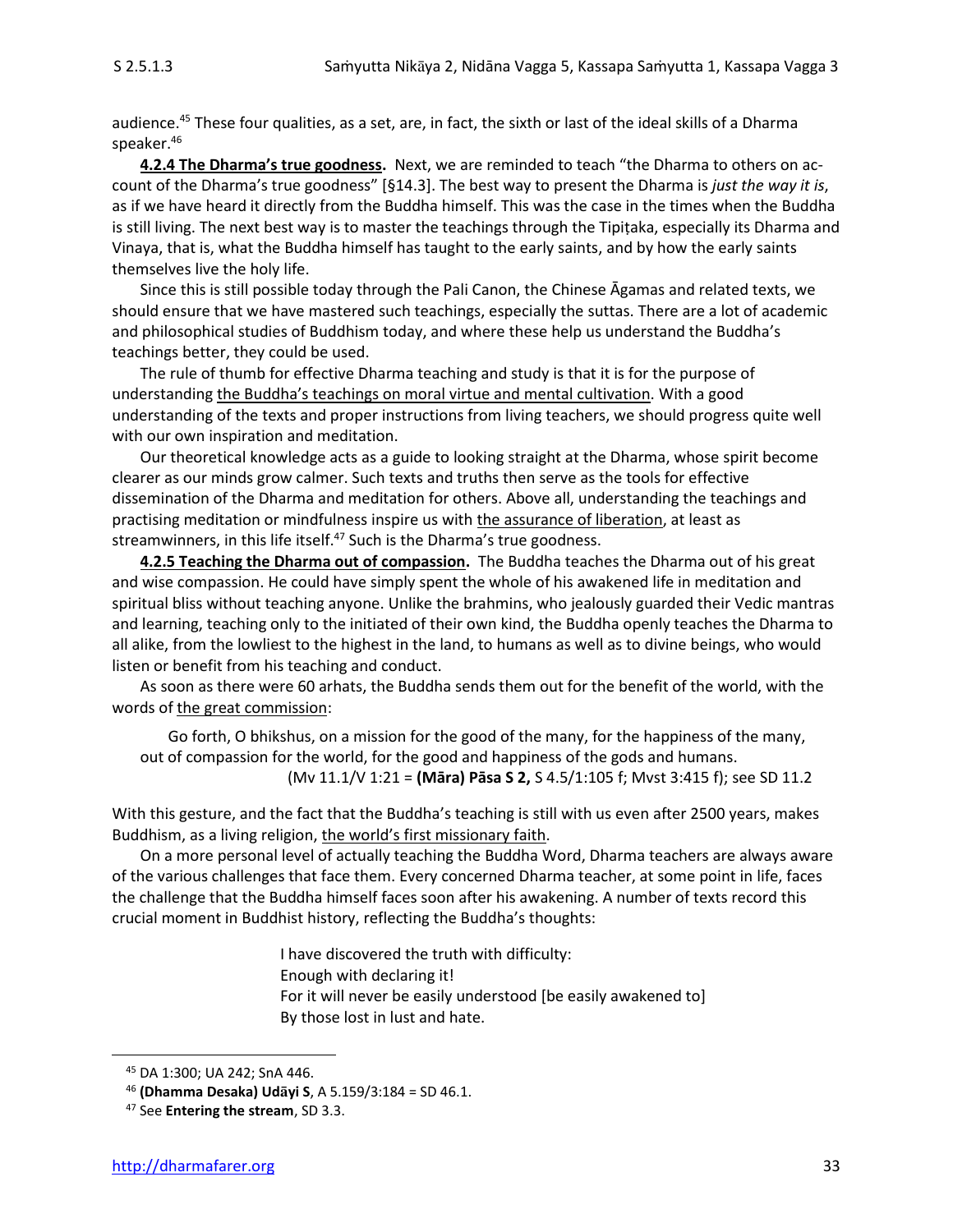audience. <sup>45</sup> These four qualities, as a set, are, in fact, the sixth or last of the ideal skills of a Dharma speaker. 46

**4.2.4 The Dharma's true goodness.** Next, we are reminded to teach "the Dharma to others on account of the Dharma's true goodness" [§14.3]. The best way to present the Dharma is *just the way it is*, as if we have heard it directly from the Buddha himself. This was the case in the times when the Buddha is still living. The next best way is to master the teachings through the Tipiṭaka, especially its Dharma and Vinaya, that is, what the Buddha himself has taught to the early saints, and by how the early saints themselves live the holy life.

Since this is still possible today through the Pali Canon, the Chinese Āgamas and related texts, we should ensure that we have mastered such teachings, especially the suttas. There are a lot of academic and philosophical studies of Buddhism today, and where these help us understand the Buddha's teachings better, they could be used.

The rule of thumb for effective Dharma teaching and study is that it is for the purpose of understanding the Buddha's teachings on moral virtue and mental cultivation. With a good understanding of the texts and proper instructions from living teachers, we should progress quite well with our own inspiration and meditation.

Our theoretical knowledge acts as a guide to looking straight at the Dharma, whose spirit become clearer as our minds grow calmer. Such texts and truths then serve as the tools for effective dissemination of the Dharma and meditation for others. Above all, understanding the teachings and practising meditation or mindfulness inspire us with the assurance of liberation, at least as streamwinners, in this life itself.<sup>47</sup> Such is the Dharma's true goodness.

**4.2.5 Teaching the Dharma out of compassion.** The Buddha teaches the Dharma out of his great and wise compassion. He could have simply spent the whole of his awakened life in meditation and spiritual bliss without teaching anyone. Unlike the brahmins, who jealously guarded their Vedic mantras and learning, teaching only to the initiated of their own kind, the Buddha openly teaches the Dharma to all alike, from the lowliest to the highest in the land, to humans as well as to divine beings, who would listen or benefit from his teaching and conduct.

As soon as there were 60 arhats, the Buddha sends them out for the benefit of the world, with the words of the great commission:

Go forth, O bhikshus, on a mission for the good of the many, for the happiness of the many, out of compassion for the world, for the good and happiness of the gods and humans. (Mv 11.1/V 1:21 = **(Māra) Pāsa S 2,** S 4.5/1:105 f; Mvst 3:415 f); see SD 11.2

With this gesture, and the fact that the Buddha's teaching is still with us even after 2500 years, makes Buddhism, as a living religion, the world's first missionary faith.

On a more personal level of actually teaching the Buddha Word, Dharma teachers are always aware of the various challenges that face them. Every concerned Dharma teacher, at some point in life, faces the challenge that the Buddha himself faces soon after his awakening. A number of texts record this crucial moment in Buddhist history, reflecting the Buddha's thoughts:

> I have discovered the truth with difficulty: Enough with declaring it! For it will never be easily understood [be easily awakened to] By those lost in lust and hate.

<sup>45</sup> DA 1:300; UA 242; SnA 446.

<sup>46</sup> **(Dhamma Desaka) Udyi S**, A 5.159/3:184 = SD 46.1.

<sup>47</sup> See **Entering the stream**, SD 3.3.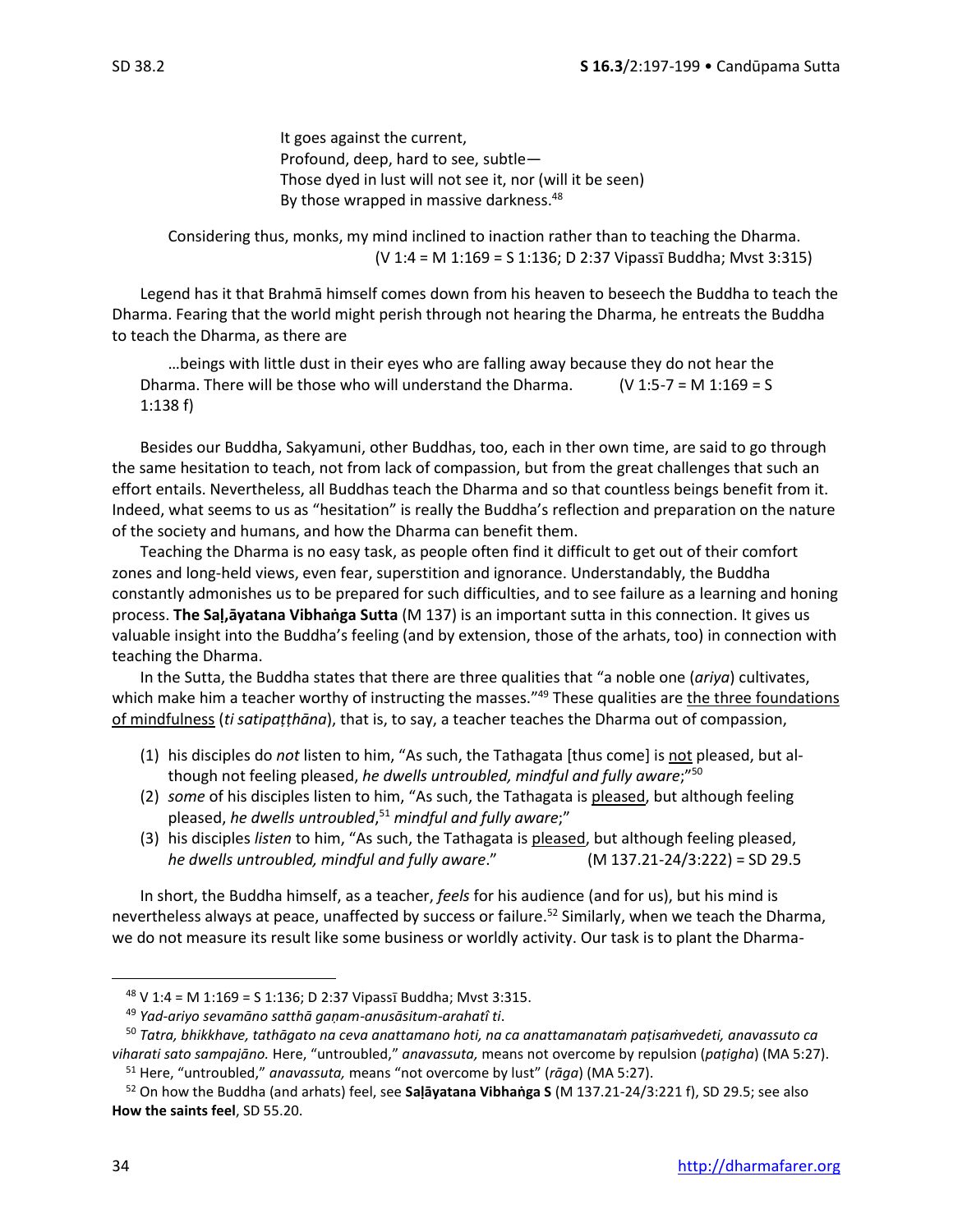It goes against the current, Profound, deep, hard to see, subtle— Those dyed in lust will not see it, nor (will it be seen) By those wrapped in massive darkness.<sup>48</sup>

Considering thus, monks, my mind inclined to inaction rather than to teaching the Dharma.  $(V 1:4 = M 1:169 = S 1:136; D 2:37 Vipassī Buddha; Mvst 3:315)$ 

Legend has it that Brahmā himself comes down from his heaven to beseech the Buddha to teach the Dharma. Fearing that the world might perish through not hearing the Dharma, he entreats the Buddha to teach the Dharma, as there are

…beings with little dust in their eyes who are falling away because they do not hear the Dharma. There will be those who will understand the Dharma.  $(V 1:5-7 = M 1:169 = S$ 1:138 f)

Besides our Buddha, Sakyamuni, other Buddhas, too, each in ther own time, are said to go through the same hesitation to teach, not from lack of compassion, but from the great challenges that such an effort entails. Nevertheless, all Buddhas teach the Dharma and so that countless beings benefit from it. Indeed, what seems to us as "hesitation" is really the Buddha's reflection and preparation on the nature of the society and humans, and how the Dharma can benefit them.

Teaching the Dharma is no easy task, as people often find it difficult to get out of their comfort zones and long-held views, even fear, superstition and ignorance. Understandably, the Buddha constantly admonishes us to be prepared for such difficulties, and to see failure as a learning and honing process. **The Saḷ,āyatana Vibhaṅga Sutta** (M 137) is an important sutta in this connection. It gives us valuable insight into the Buddha's feeling (and by extension, those of the arhats, too) in connection with teaching the Dharma.

In the Sutta, the Buddha states that there are three qualities that "a noble one (*ariya*) cultivates, which make him a teacher worthy of instructing the masses."<sup>49</sup> These qualities are the three foundations of mindfulness (*ti satipaṭṭhāna*), that is, to say, a teacher teaches the Dharma out of compassion,

- (1) his disciples do *not* listen to him, "As such, the Tathagata [thus come] is not pleased, but although not feeling pleased, *he dwells untroubled, mindful and fully aware*;" 50
- (2) *some* of his disciples listen to him, "As such, the Tathagata is pleased, but although feeling pleased, *he dwells untroubled*, <sup>51</sup> *mindful and fully aware*;"
- (3) his disciples *listen* to him, "As such, the Tathagata is pleased, but although feeling pleased, *he dwells untroubled, mindful and fully aware*." (M 137.21-24/3:222) = SD 29.5

In short, the Buddha himself, as a teacher, *feels* for his audience (and for us), but his mind is nevertheless always at peace, unaffected by success or failure.<sup>52</sup> Similarly, when we teach the Dharma, we do not measure its result like some business or worldly activity. Our task is to plant the Dharma-

 $48$  V 1:4 = M 1:169 = S 1:136; D 2:37 Vipass<sub>1</sub> Buddha; Mvst 3:315.

<sup>49</sup> *Yad-ariyo sevamāno satthā gaṇam-anusāsitum-arahatî ti*.

<sup>50</sup> *Tatra, bhikkhave, tathāgato na ceva anattamano hoti, na ca anattamanataṁ paṭisaṁvedeti, anavassuto ca viharati sato sampajāno.* Here, "untroubled," *anavassuta,* means not overcome by repulsion (*paṭigha*) (MA 5:27).

<sup>51</sup> Here, "untroubled," *anavassuta,* means "not overcome by lust" (*rāga*) (MA 5:27).

<sup>52</sup> On how the Buddha (and arhats) feel, see **Saḷāyatana Vibhaṅga S** (M 137.21-24/3:221 f), SD 29.5; see also **How the saints feel**, SD 55.20.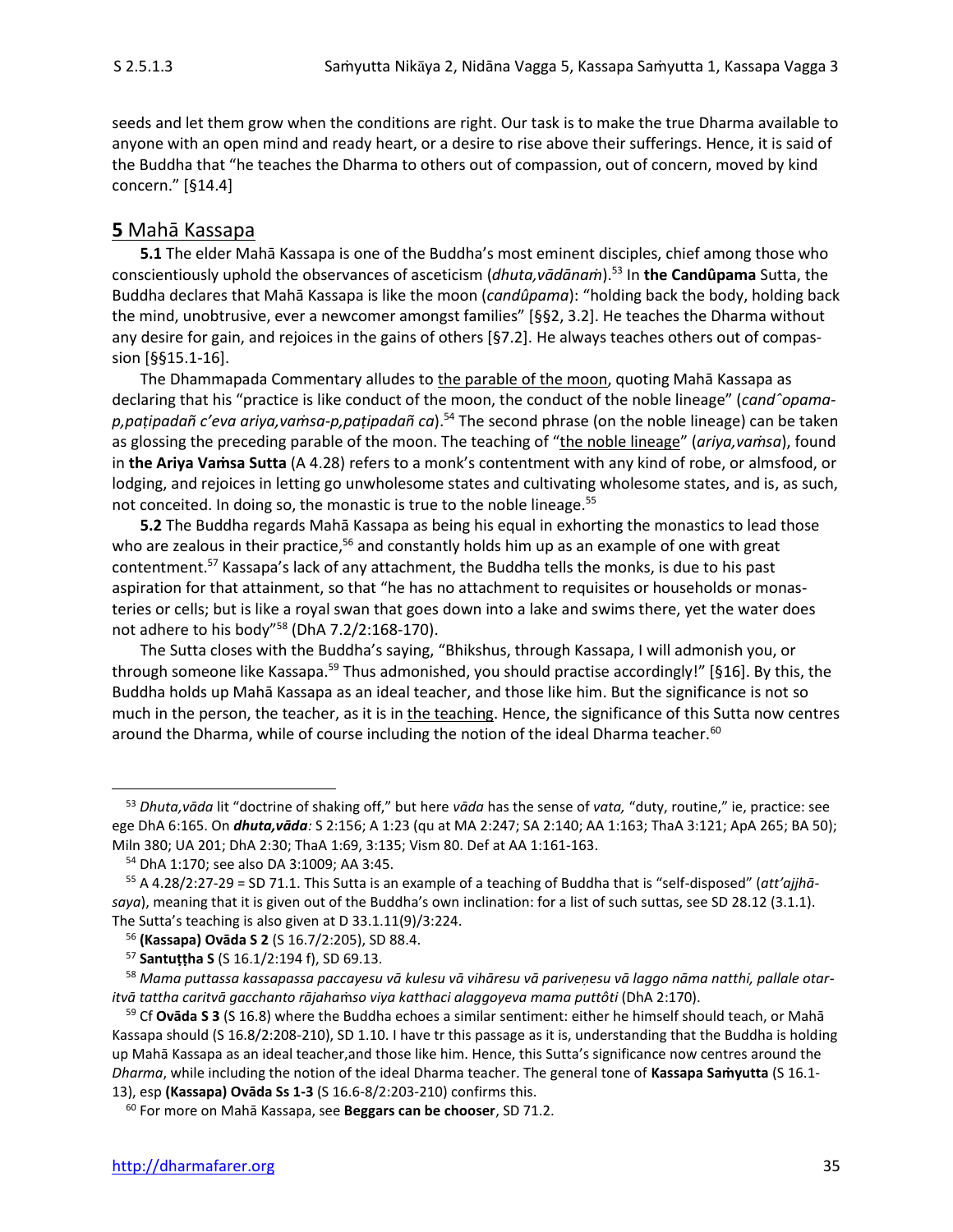seeds and let them grow when the conditions are right. Our task is to make the true Dharma available to anyone with an open mind and ready heart, or a desire to rise above their sufferings. Hence, it is said of the Buddha that "he teaches the Dharma to others out of compassion, out of concern, moved by kind concern." [§14.4]

## **5** Mahā Kassapa

**5.1** The elder Mahā Kassapa is one of the Buddha's most eminent disciples, chief among those who conscientiously uphold the observances of asceticism (*dhuta,vādānaṁ*). <sup>53</sup> In **the Candûpama** Sutta, the Buddha declares that Mahā Kassapa is like the moon (*candûpama*): "holding back the body, holding back the mind, unobtrusive, ever a newcomer amongst families" [§§2, 3.2]. He teaches the Dharma without any desire for gain, and rejoices in the gains of others [§7.2]. He always teaches others out of compassion [§§15.1-16].

The Dhammapada Commentary alludes to the parable of the moon, quoting Mahā Kassapa as declaring that his "practice is like conduct of the moon, the conduct of the noble lineage" (*candˆopamap,paṭipadañ c'eva ariya,vaṁsa-p,paṭipadañ ca*).<sup>54</sup> The second phrase (on the noble lineage) can be taken as glossing the preceding parable of the moon. The teaching of "the noble lineage" (*ariya,vaṁsa*), found in **the Ariya Vaṁsa Sutta** (A 4.28) refers to a monk's contentment with any kind of robe, or almsfood, or lodging, and rejoices in letting go unwholesome states and cultivating wholesome states, and is, as such, not conceited. In doing so, the monastic is true to the noble lineage.<sup>55</sup>

**5.2** The Buddha regards Mahā Kassapa as being his equal in exhorting the monastics to lead those who are zealous in their practice,<sup>56</sup> and constantly holds him up as an example of one with great contentment.<sup>57</sup> Kassapa's lack of any attachment, the Buddha tells the monks, is due to his past aspiration for that attainment, so that "he has no attachment to requisites or households or monasteries or cells; but is like a royal swan that goes down into a lake and swims there, yet the water does not adhere to his body"<sup>58</sup> (DhA 7.2/2:168-170).

The Sutta closes with the Buddha's saying, "Bhikshus, through Kassapa, I will admonish you, or through someone like Kassapa.<sup>59</sup> Thus admonished, you should practise accordingly!" [§16]. By this, the Buddha holds up Mahā Kassapa as an ideal teacher, and those like him. But the significance is not so much in the person, the teacher, as it is in the teaching. Hence, the significance of this Sutta now centres around the Dharma, while of course including the notion of the ideal Dharma teacher.<sup>60</sup>

<sup>53</sup> *Dhuta,vāda* lit "doctrine of shaking off," but here *vāda* has the sense of *vata,* "duty, routine," ie, practice: see ege DhA 6:165. On *dhuta,vāda:* S 2:156; A 1:23 (qu at MA 2:247; SA 2:140; AA 1:163; ThaA 3:121; ApA 265; BA 50); Miln 380; UA 201; DhA 2:30; ThaA 1:69, 3:135; Vism 80. Def at AA 1:161-163.

<sup>54</sup> DhA 1:170; see also DA 3:1009; AA 3:45.

<sup>55</sup> A 4.28/2:27-29 = SD 71.1. This Sutta is an example of a teaching of Buddha that is "self-disposed" (*att'ajjhāsaya*), meaning that it is given out of the Buddha's own inclination: for a list of such suttas, see SD 28.12 (3.1.1). The Sutta's teaching is also given at D 33.1.11(9)/3:224.

<sup>56</sup> **(Kassapa) Ovāda S 2** (S 16.7/2:205), SD 88.4.

<sup>57</sup> **Santuṭṭha S** (S 16.1/2:194 f), SD 69.13.

<sup>58</sup> *Mama puttassa kassapassa paccayesu vā kulesu vā vihāresu vā pariveṇesu vā laggo nāma natthi, pallale otaritvā tattha caritvā gacchanto rājaha*ṁ*so viya katthaci alaggoyeva mama puttôti* (DhA 2:170).

<sup>59</sup> Cf **Ovāda S 3** (S 16.8) where the Buddha echoes a similar sentiment: either he himself should teach, or Mahā Kassapa should (S 16.8/2:208-210), SD 1.10. I have tr this passage as it is, understanding that the Buddha is holding up Mahā Kassapa as an ideal teacher,and those like him. Hence, this Sutta's significance now centres around the *Dharma*, while including the notion of the ideal Dharma teacher. The general tone of **Kassapa Saṁyutta** (S 16.1- 13), esp **(Kassapa) Ovāda Ss 1-3** (S 16.6-8/2:203-210) confirms this.

<sup>60</sup> For more on Mahā Kassapa, see **Beggars can be chooser**, SD 71.2.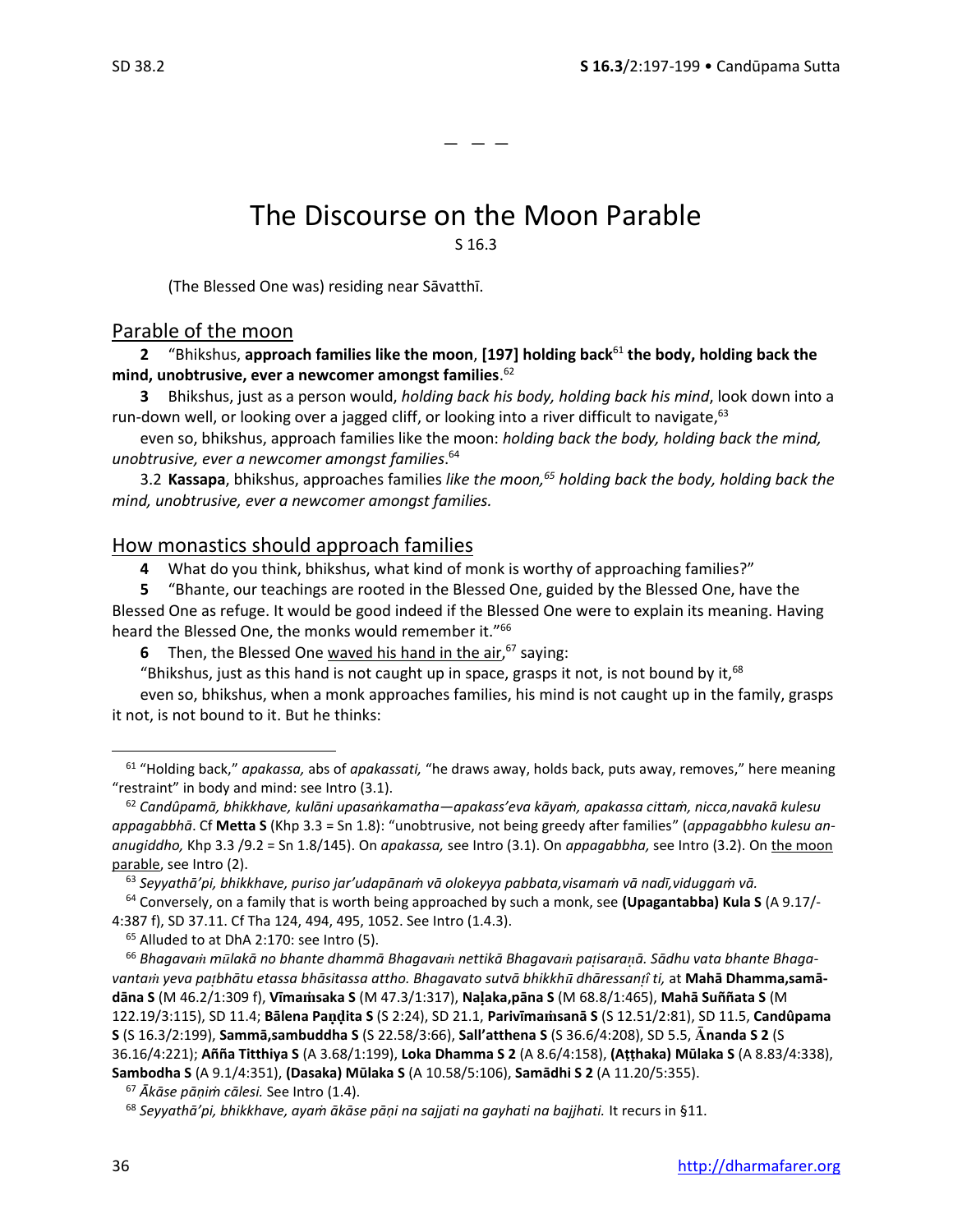— — —

## The Discourse on the Moon Parable

S 16.3

(The Blessed One was) residing near Sāvatthī.

## Parable of the moon

**2** "Bhikshus, **approach families like the moon**, **[197] holding back**<sup>61</sup> **the body, holding back the mind, unobtrusive, ever a newcomer amongst families**. 62

**3** Bhikshus, just as a person would, *holding back his body, holding back his mind*, look down into a run-down well, or looking over a jagged cliff, or looking into a river difficult to navigate,<sup>63</sup>

even so, bhikshus, approach families like the moon: *holding back the body, holding back the mind, unobtrusive, ever a newcomer amongst families*. 64

3.2 **Kassapa**, bhikshus, approaches families *like the moon,<sup>65</sup> holding back the body, holding back the mind, unobtrusive, ever a newcomer amongst families.*

## How monastics should approach families

**4** What do you think, bhikshus, what kind of monk is worthy of approaching families?"

**5** "Bhante, our teachings are rooted in the Blessed One, guided by the Blessed One, have the Blessed One as refuge. It would be good indeed if the Blessed One were to explain its meaning. Having heard the Blessed One, the monks would remember it."<sup>66</sup>

**6** Then, the Blessed One waved his hand in the air,<sup>67</sup> saying:

"Bhikshus, just as this hand is not caught up in space, grasps it not, is not bound by it, $^{68}$ 

even so, bhikshus, when a monk approaches families, his mind is not caught up in the family, grasps it not, is not bound to it. But he thinks:

<sup>63</sup> *Seyyathā'pi, bhikkhave, puriso jar'udapānaṁ vā olokeyya pabbata,visamaṁ vā nadī,viduggaṁ vā.*

<sup>64</sup> Conversely, on a family that is worth being approached by such a monk, see **(Upagantabba) Kula S** (A 9.17/- 4:387 f), SD 37.11. Cf Tha 124, 494, 495, 1052. See Intro (1.4.3).

<sup>65</sup> Alluded to at DhA 2:170: see Intro (5).

<sup>66</sup> *Bhagava mlakā no bhante dhammā Bhagava nettikā Bhagava paisaraā. Sādhu vata bhante Bhagavanta yeva pabhātu etassa bhāsitassa attho. Bhagavato sutvā bhikkh dhāressanî ti,* at **Mahā Dhamma,samādāna S** (M 46.2/1:309 f), **Vīmasaka S** (M 47.3/1:317), **Naaka,pāna S** (M 68.8/1:465), **Mahā Suññata S** (M 122.19/3:115), SD 11.4; **Bālena Paita S** (S 2:24), SD 21.1, **Parivīmasanā S** (S 12.51/2:81), SD 11.5, **Candûpama S** (S 16.3/2:199), **Sammā,sambuddha S** (S 22.58/3:66), **Sall'atthena S** (S 36.6/4:208), SD 5.5, **nanda S 2** (S 36.16/4:221); **Añña Titthiya S** (A 3.68/1:199), **Loka Dhamma S 2** (A 8.6/4:158), **(Aṭṭhaka) Mūlaka S** (A 8.83/4:338), **Sambodha S** (A 9.1/4:351), **(Dasaka) Mūlaka S** (A 10.58/5:106), **Samādhi S 2** (A 11.20/5:355).

<sup>67</sup> *Ākāse pāṇiṁ cālesi.* See Intro (1.4).

<sup>61</sup> "Holding back," *apakassa,* abs of *apakassati,* "he draws away, holds back, puts away, removes," here meaning "restraint" in body and mind: see Intro (3.1).

<sup>62</sup> *Candûpamā, bhikkhave, kulāni upasaṅkamatha—apakass'eva kāyaṁ, apakassa cittaṁ, nicca,navakā kulesu appagabbhā*. Cf **Metta S** (Khp 3.3 = Sn 1.8): "unobtrusive, not being greedy after families" (*appagabbho kulesu ananugiddho,* Khp 3.3 /9.2 = Sn 1.8/145). On *apakassa,* see Intro (3.1). On *appagabbha,* see Intro (3.2). On the moon parable, see Intro (2).

<sup>68</sup> *Seyyathā'pi, bhikkhave, ayaṁ ākāse pāṇi na sajjati na gayhati na bajjhati.* It recurs in §11.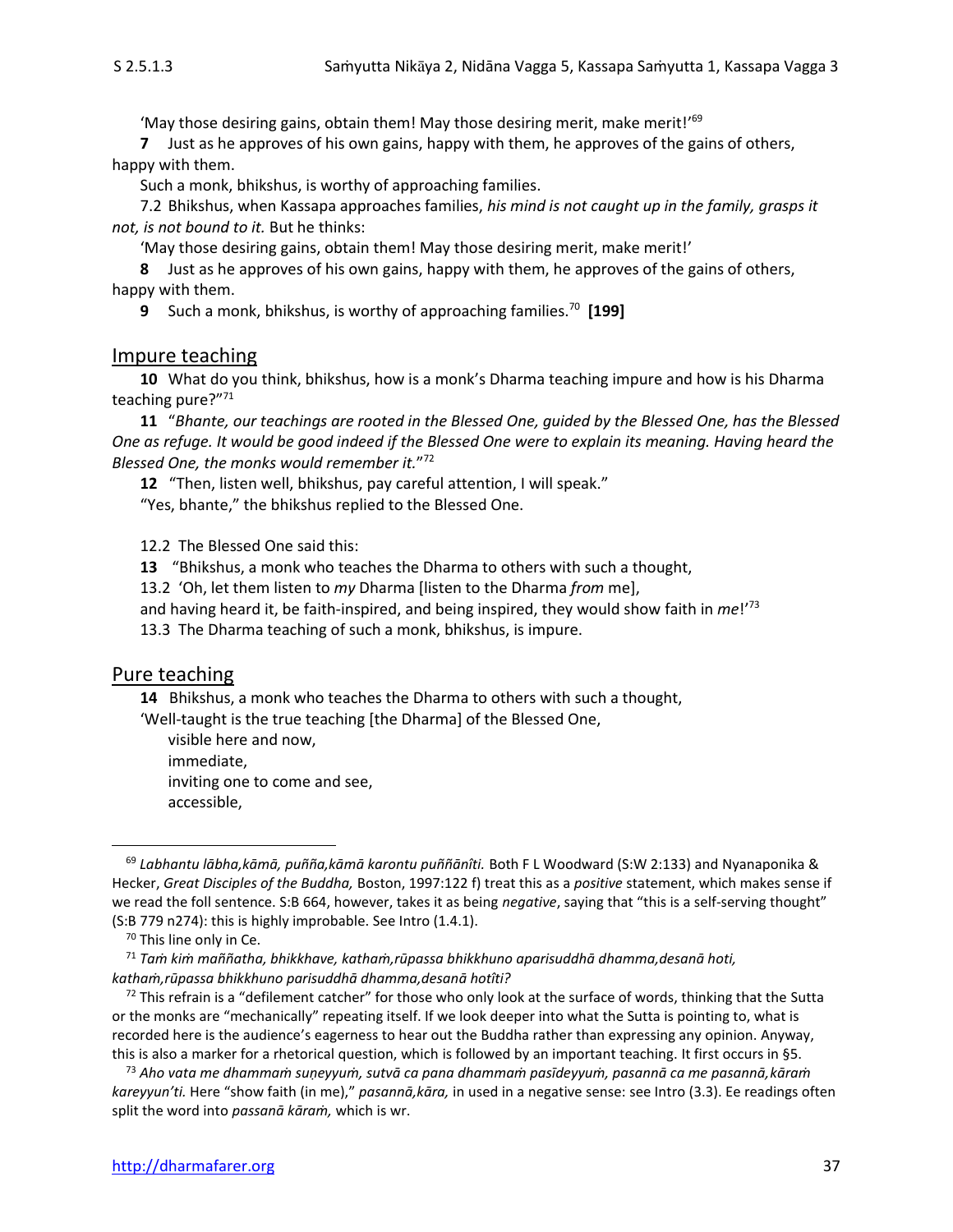'May those desiring gains, obtain them! May those desiring merit, make merit!'<sup>69</sup>

**7** Just as he approves of his own gains, happy with them, he approves of the gains of others, happy with them.

Such a monk, bhikshus, is worthy of approaching families.

7.2 Bhikshus, when Kassapa approaches families, *his mind is not caught up in the family, grasps it not, is not bound to it.* But he thinks:

'May those desiring gains, obtain them! May those desiring merit, make merit!'

**8** Just as he approves of his own gains, happy with them, he approves of the gains of others, happy with them.

**9** Such a monk, bhikshus, is worthy of approaching families.<sup>70</sup> **[199]**

#### Impure teaching

**10** What do you think, bhikshus, how is a monk's Dharma teaching impure and how is his Dharma teaching pure?" 71

**11** "*Bhante, our teachings are rooted in the Blessed One, guided by the Blessed One, has the Blessed One as refuge. It would be good indeed if the Blessed One were to explain its meaning. Having heard the Blessed One, the monks would remember it.*" 72

**12** "Then, listen well, bhikshus, pay careful attention, I will speak."

"Yes, bhante," the bhikshus replied to the Blessed One.

12.2The Blessed One said this:

**13** "Bhikshus, a monk who teaches the Dharma to others with such a thought,

13.2'Oh, let them listen to *my* Dharma [listen to the Dharma *from* me],

and having heard it, be faith-inspired, and being inspired, they would show faith in *me*!' 73

13.3The Dharma teaching of such a monk, bhikshus, is impure.

#### Pure teaching

**14** Bhikshus, a monk who teaches the Dharma to others with such a thought,

'Well-taught is the true teaching [the Dharma] of the Blessed One,

visible here and now, immediate, inviting one to come and see, accessible,

<sup>69</sup> *Labhantu lābha,kāmā, puñña,kāmā karontu puññānîti.* Both F L Woodward (S:W 2:133) and Nyanaponika & Hecker, *Great Disciples of the Buddha,* Boston, 1997:122 f) treat this as a *positive* statement, which makes sense if we read the foll sentence. S:B 664, however, takes it as being *negative*, saying that "this is a self-serving thought" (S:B 779 n274): this is highly improbable. See Intro (1.4.1).

<sup>&</sup>lt;sup>70</sup> This line only in Ce.

<sup>71</sup> *Taṁ kiṁ maññatha, bhikkhave, kathaṁ,rūpassa bhikkhuno aparisuddhā dhamma,desanā hoti, kathaṁ,rūpassa bhikkhuno parisuddhā dhamma,desanā hotîti?*

 $72$  This refrain is a "defilement catcher" for those who only look at the surface of words, thinking that the Sutta or the monks are "mechanically" repeating itself. If we look deeper into what the Sutta is pointing to, what is recorded here is the audience's eagerness to hear out the Buddha rather than expressing any opinion. Anyway, this is also a marker for a rhetorical question, which is followed by an important teaching. It first occurs in §5.

<sup>73</sup> *Aho vata me dhammaṁ suṇeyyuṁ, sutvā ca pana dhammaṁ pasīdeyyuṁ, pasannā ca me pasannā,kāraṁ kareyyun'ti.* Here "show faith (in me)," *pasannā,kāra,* in used in a negative sense: see Intro (3.3). Ee readings often split the word into *passanā kāraṁ,* which is wr.